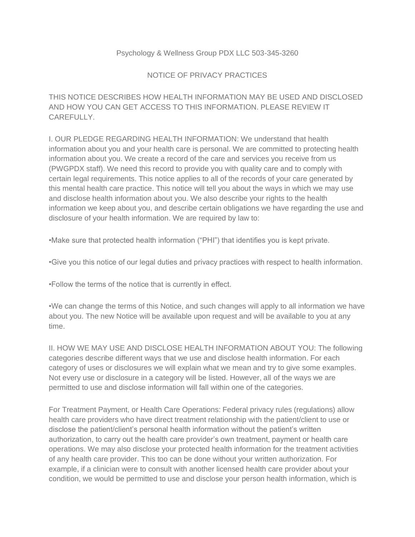## Psychology & Wellness Group PDX LLC 503-345-3260

## NOTICE OF PRIVACY PRACTICES

THIS NOTICE DESCRIBES HOW HEALTH INFORMATION MAY BE USED AND DISCLOSED AND HOW YOU CAN GET ACCESS TO THIS INFORMATION. PLEASE REVIEW IT CARFFULLY.

I. OUR PLEDGE REGARDING HEALTH INFORMATION: We understand that health information about you and your health care is personal. We are committed to protecting health information about you. We create a record of the care and services you receive from us (PWGPDX staff). We need this record to provide you with quality care and to comply with certain legal requirements. This notice applies to all of the records of your care generated by this mental health care practice. This notice will tell you about the ways in which we may use and disclose health information about you. We also describe your rights to the health information we keep about you, and describe certain obligations we have regarding the use and disclosure of your health information. We are required by law to:

•Make sure that protected health information ("PHI") that identifies you is kept private.

•Give you this notice of our legal duties and privacy practices with respect to health information.

•Follow the terms of the notice that is currently in effect.

•We can change the terms of this Notice, and such changes will apply to all information we have about you. The new Notice will be available upon request and will be available to you at any time.

II. HOW WE MAY USE AND DISCLOSE HEALTH INFORMATION ABOUT YOU: The following categories describe different ways that we use and disclose health information. For each category of uses or disclosures we will explain what we mean and try to give some examples. Not every use or disclosure in a category will be listed. However, all of the ways we are permitted to use and disclose information will fall within one of the categories.

For Treatment Payment, or Health Care Operations: Federal privacy rules (regulations) allow health care providers who have direct treatment relationship with the patient/client to use or disclose the patient/client's personal health information without the patient's written authorization, to carry out the health care provider's own treatment, payment or health care operations. We may also disclose your protected health information for the treatment activities of any health care provider. This too can be done without your written authorization. For example, if a clinician were to consult with another licensed health care provider about your condition, we would be permitted to use and disclose your person health information, which is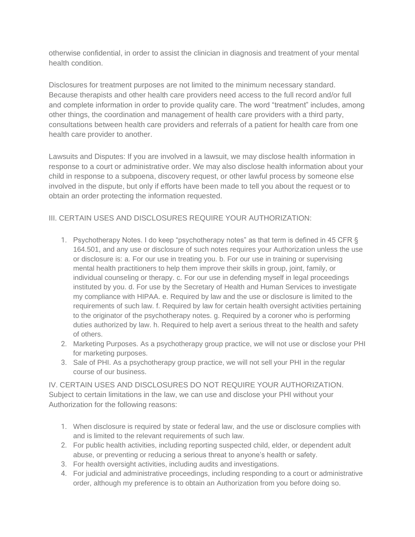otherwise confidential, in order to assist the clinician in diagnosis and treatment of your mental health condition.

Disclosures for treatment purposes are not limited to the minimum necessary standard. Because therapists and other health care providers need access to the full record and/or full and complete information in order to provide quality care. The word "treatment" includes, among other things, the coordination and management of health care providers with a third party, consultations between health care providers and referrals of a patient for health care from one health care provider to another.

Lawsuits and Disputes: If you are involved in a lawsuit, we may disclose health information in response to a court or administrative order. We may also disclose health information about your child in response to a subpoena, discovery request, or other lawful process by someone else involved in the dispute, but only if efforts have been made to tell you about the request or to obtain an order protecting the information requested.

## III. CERTAIN USES AND DISCLOSURES REQUIRE YOUR AUTHORIZATION:

- 1. Psychotherapy Notes. I do keep "psychotherapy notes" as that term is defined in 45 CFR § 164.501, and any use or disclosure of such notes requires your Authorization unless the use or disclosure is: a. For our use in treating you. b. For our use in training or supervising mental health practitioners to help them improve their skills in group, joint, family, or individual counseling or therapy. c. For our use in defending myself in legal proceedings instituted by you. d. For use by the Secretary of Health and Human Services to investigate my compliance with HIPAA. e. Required by law and the use or disclosure is limited to the requirements of such law. f. Required by law for certain health oversight activities pertaining to the originator of the psychotherapy notes. g. Required by a coroner who is performing duties authorized by law. h. Required to help avert a serious threat to the health and safety of others.
- 2. Marketing Purposes. As a psychotherapy group practice, we will not use or disclose your PHI for marketing purposes.
- 3. Sale of PHI. As a psychotherapy group practice, we will not sell your PHI in the regular course of our business.

IV. CERTAIN USES AND DISCLOSURES DO NOT REQUIRE YOUR AUTHORIZATION. Subject to certain limitations in the law, we can use and disclose your PHI without your Authorization for the following reasons:

- 1. When disclosure is required by state or federal law, and the use or disclosure complies with and is limited to the relevant requirements of such law.
- 2. For public health activities, including reporting suspected child, elder, or dependent adult abuse, or preventing or reducing a serious threat to anyone's health or safety.
- 3. For health oversight activities, including audits and investigations.
- 4. For judicial and administrative proceedings, including responding to a court or administrative order, although my preference is to obtain an Authorization from you before doing so.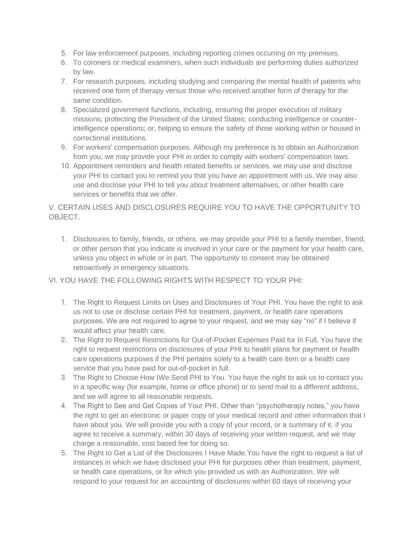- 5. For law enforcement purposes, including reporting crimes occurring on my premises.
- 6. To coroners or medical examiners, when such individuals are performing duties authorized by law.
- 7. For research purposes, including studying and comparing the mental health of patients who received one form of therapy versus those who received another form of therapy for the same condition.
- 8. Specialized government functions, including, ensuring the proper execution of military missions; protecting the President of the United States; conducting intelligence or counterintelligence operations; or, helping to ensure the safety of those working within or housed in correctional institutions.
- 9. For workers' compensation purposes. Although my preference is to obtain an Authorization from you, we may provide your PHI in order to comply with workers' compensation laws.
- 10. Appointment reminders and health related benefits or services. we may use and disclose your PHI to contact you to remind you that you have an appointment with us. We may also use and disclose your PHI to tell you about treatment alternatives, or other health care services or benefits that we offer.

V. CERTAIN USES AND DISCLOSURES REQUIRE YOU TO HAVE THE OPPORTUNITY TO OBJECT.

1. Disclosures to family, friends, or others. we may provide your PHI to a family member, friend, or other person that you indicate is involved in your care or the payment for your health care, unless you object in whole or in part. The opportunity to consent may be obtained retroactively in emergency situations.

## VI. YOU HAVE THE FOLLOWING RIGHTS WITH RESPECT TO YOUR PHI:

- 1. The Right to Request Limits on Uses and Disclosures of Your PHI. You have the right to ask us not to use or disclose certain PHI for treatment, payment, or health care operations purposes. We are not required to agree to your request, and we may say "no" if I believe it would affect your health care.
- 2. The Right to Request Restrictions for Out-of-Pocket Expenses Paid for In Full. You have the right to request restrictions on disclosures of your PHI to health plans for payment or health care operations purposes if the PHI pertains solely to a health care item or a health care service that you have paid for out-of-pocket in full.
- 3. The Right to Choose How IWe Send PHI to You. You have the right to ask us to contact you in a specific way (for example, home or office phone) or to send mail to a different address, and we will agree to all reasonable requests.
- 4. The Right to See and Get Copies of Your PHI. Other than "psychotherapy notes," you have the right to get an electronic or paper copy of your medical record and other information that I have about you. We will provide you with a copy of your record, or a summary of it, if you agree to receive a summary, within 30 days of receiving your written request, and we may charge a reasonable, cost based fee for doing so.
- 5. The Right to Get a List of the Disclosures I Have Made.You have the right to request a list of instances in which we have disclosed your PHI for purposes other than treatment, payment, or health care operations, or for which you provided us with an Authorization. We will respond to your request for an accounting of disclosures within 60 days of receiving your